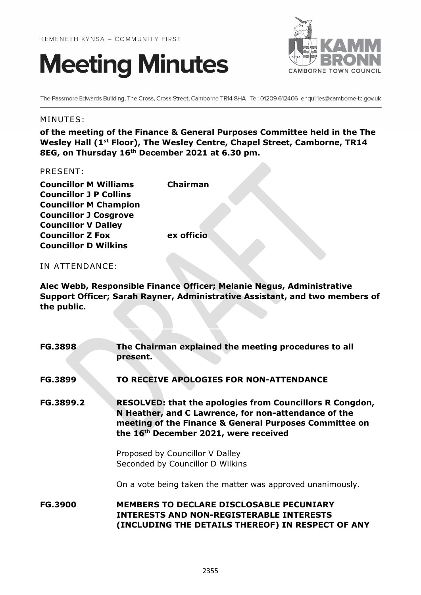



The Passmore Edwards Building, The Cross, Cross Street, Camborne TR14 8HA Tel: 01209 612406 enquiries@camborne-tc.gov.uk

#### MINUTES:

**of the meeting of the Finance & General Purposes Committee held in the The Wesley Hall (1st Floor), The Wesley Centre, Chapel Street, Camborne, TR14 8EG, on Thursday 16th December 2021 at 6.30 pm.**

#### PRESENT:

**Councillor M Williams Chairman Councillor J P Collins Councillor M Champion Councillor J Cosgrove Councillor V Dalley Councillor Z Fox ex officio Councillor D Wilkins**

# IN ATTENDANCE:

**Alec Webb, Responsible Finance Officer; Melanie Negus, Administrative Support Officer; Sarah Rayner, Administrative Assistant, and two members of the public.**

| <b>FG.3898</b> | The Chairman explained the meeting procedures to all<br>present.                                                                                                                                                           |
|----------------|----------------------------------------------------------------------------------------------------------------------------------------------------------------------------------------------------------------------------|
| <b>FG.3899</b> | TO RECEIVE APOLOGIES FOR NON-ATTENDANCE                                                                                                                                                                                    |
| FG.3899.2      | <b>RESOLVED: that the apologies from Councillors R Congdon,</b><br>N Heather, and C Lawrence, for non-attendance of the<br>meeting of the Finance & General Purposes Committee on<br>the 16th December 2021, were received |
|                | Proposed by Councillor V Dalley<br>Seconded by Councillor D Wilkins                                                                                                                                                        |
|                | On a vote being taken the matter was approved unanimously.                                                                                                                                                                 |
| <b>FG.3900</b> | <b>MEMBERS TO DECLARE DISCLOSABLE PECUNIARY</b><br><b>INTERESTS AND NON-REGISTERABLE INTERESTS</b><br>(INCLUDING THE DETAILS THEREOF) IN RESPECT OF ANY                                                                    |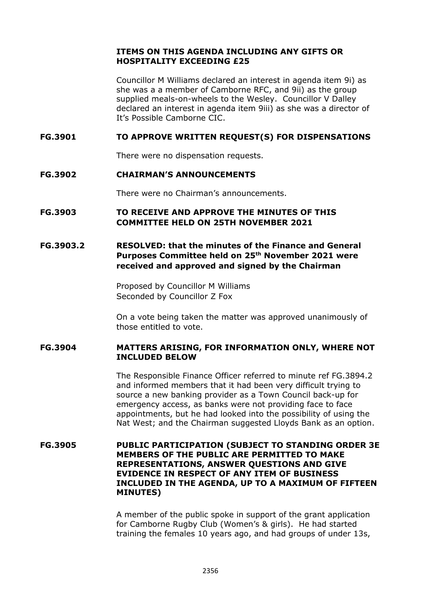# **ITEMS ON THIS AGENDA INCLUDING ANY GIFTS OR HOSPITALITY EXCEEDING £25**

Councillor M Williams declared an interest in agenda item 9i) as she was a a member of Camborne RFC, and 9ii) as the group supplied meals-on-wheels to the Wesley. Councillor V Dalley declared an interest in agenda item 9iii) as she was a director of It's Possible Camborne CIC.

# **FG.3901 TO APPROVE WRITTEN REQUEST(S) FOR DISPENSATIONS**

There were no dispensation requests.

#### **FG.3902 CHAIRMAN'S ANNOUNCEMENTS**

There were no Chairman's announcements.

# **FG.3903 TO RECEIVE AND APPROVE THE MINUTES OF THIS COMMITTEE HELD ON 25TH NOVEMBER 2021**

# **FG.3903.2 RESOLVED: that the minutes of the Finance and General Purposes Committee held on 25th November 2021 were received and approved and signed by the Chairman**

Proposed by Councillor M Williams Seconded by Councillor Z Fox

On a vote being taken the matter was approved unanimously of those entitled to vote.

#### **FG.3904 MATTERS ARISING, FOR INFORMATION ONLY, WHERE NOT INCLUDED BELOW**

The Responsible Finance Officer referred to minute ref FG.3894.2 and informed members that it had been very difficult trying to source a new banking provider as a Town Council back-up for emergency access, as banks were not providing face to face appointments, but he had looked into the possibility of using the Nat West; and the Chairman suggested Lloyds Bank as an option.

## **FG.3905 PUBLIC PARTICIPATION (SUBJECT TO STANDING ORDER 3E MEMBERS OF THE PUBLIC ARE PERMITTED TO MAKE REPRESENTATIONS, ANSWER QUESTIONS AND GIVE EVIDENCE IN RESPECT OF ANY ITEM OF BUSINESS INCLUDED IN THE AGENDA, UP TO A MAXIMUM OF FIFTEEN MINUTES)**

A member of the public spoke in support of the grant application for Camborne Rugby Club (Women's & girls). He had started training the females 10 years ago, and had groups of under 13s,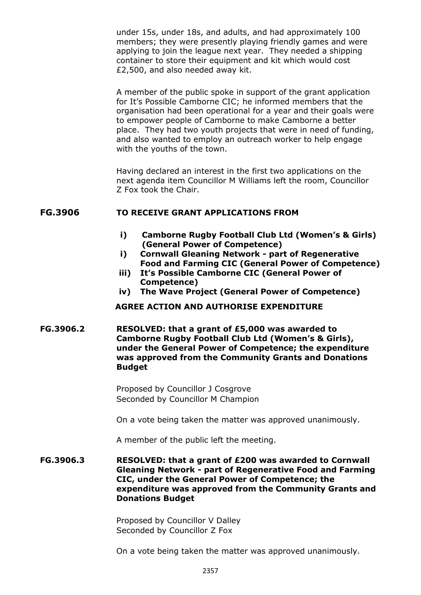under 15s, under 18s, and adults, and had approximately 100 members; they were presently playing friendly games and were applying to join the league next year. They needed a shipping container to store their equipment and kit which would cost £2,500, and also needed away kit.

A member of the public spoke in support of the grant application for It's Possible Camborne CIC; he informed members that the organisation had been operational for a year and their goals were to empower people of Camborne to make Camborne a better place. They had two youth projects that were in need of funding, and also wanted to employ an outreach worker to help engage with the youths of the town.

Having declared an interest in the first two applications on the next agenda item Councillor M Williams left the room, Councillor Z Fox took the Chair.

#### **FG.3906 TO RECEIVE GRANT APPLICATIONS FROM**

- **i) Camborne Rugby Football Club Ltd (Women's & Girls) (General Power of Competence)**
- **i) Cornwall Gleaning Network - part of Regenerative Food and Farming CIC (General Power of Competence)**
- **iii) It's Possible Camborne CIC (General Power of Competence)**
- **iv) The Wave Project (General Power of Competence)**

#### **AGREE ACTION AND AUTHORISE EXPENDITURE**

**FG.3906.2 RESOLVED: that a grant of £5,000 was awarded to Camborne Rugby Football Club Ltd (Women's & Girls), under the General Power of Competence; the expenditure was approved from the Community Grants and Donations Budget**

> Proposed by Councillor J Cosgrove Seconded by Councillor M Champion

On a vote being taken the matter was approved unanimously.

A member of the public left the meeting.

**FG.3906.3 RESOLVED: that a grant of £200 was awarded to Cornwall Gleaning Network - part of Regenerative Food and Farming CIC, under the General Power of Competence; the expenditure was approved from the Community Grants and Donations Budget**

> Proposed by Councillor V Dalley Seconded by Councillor Z Fox

On a vote being taken the matter was approved unanimously.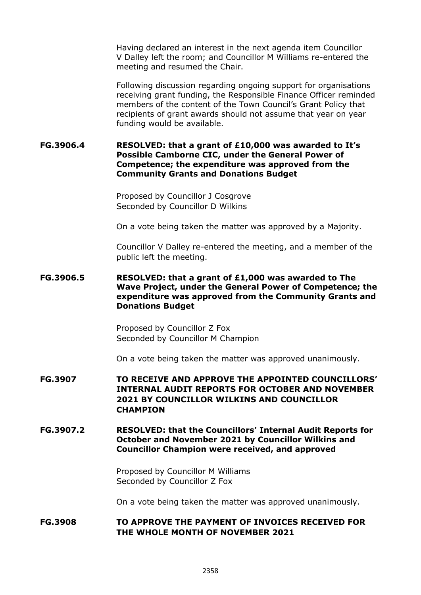Having declared an interest in the next agenda item Councillor V Dalley left the room; and Councillor M Williams re-entered the meeting and resumed the Chair.

Following discussion regarding ongoing support for organisations receiving grant funding, the Responsible Finance Officer reminded members of the content of the Town Council's Grant Policy that recipients of grant awards should not assume that year on year funding would be available.

#### **FG.3906.4 RESOLVED: that a grant of £10,000 was awarded to It's Possible Camborne CIC, under the General Power of Competence; the expenditure was approved from the Community Grants and Donations Budget**

Proposed by Councillor J Cosgrove Seconded by Councillor D Wilkins

On a vote being taken the matter was approved by a Majority.

Councillor V Dalley re-entered the meeting, and a member of the public left the meeting.

# **FG.3906.5 RESOLVED: that a grant of £1,000 was awarded to The Wave Project, under the General Power of Competence; the expenditure was approved from the Community Grants and Donations Budget**

Proposed by Councillor Z Fox Seconded by Councillor M Champion

On a vote being taken the matter was approved unanimously.

- **FG.3907 TO RECEIVE AND APPROVE THE APPOINTED COUNCILLORS' INTERNAL AUDIT REPORTS FOR OCTOBER AND NOVEMBER 2021 BY COUNCILLOR WILKINS AND COUNCILLOR CHAMPION**
- **FG.3907.2 RESOLVED: that the Councillors' Internal Audit Reports for October and November 2021 by Councillor Wilkins and Councillor Champion were received, and approved**

Proposed by Councillor M Williams Seconded by Councillor Z Fox

On a vote being taken the matter was approved unanimously.

# **FG.3908 TO APPROVE THE PAYMENT OF INVOICES RECEIVED FOR THE WHOLE MONTH OF NOVEMBER 2021**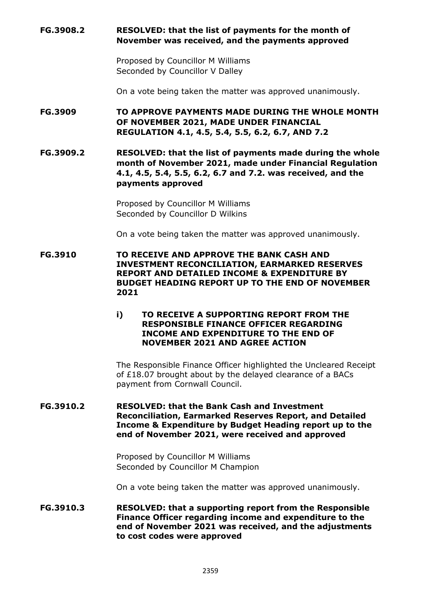# **FG.3908.2 RESOLVED: that the list of payments for the month of November was received, and the payments approved**

Proposed by Councillor M Williams Seconded by Councillor V Dalley

On a vote being taken the matter was approved unanimously.

**FG.3909 TO APPROVE PAYMENTS MADE DURING THE WHOLE MONTH OF NOVEMBER 2021, MADE UNDER FINANCIAL REGULATION 4.1, 4.5, 5.4, 5.5, 6.2, 6.7, AND 7.2**

**FG.3909.2 RESOLVED: that the list of payments made during the whole month of November 2021, made under Financial Regulation 4.1, 4.5, 5.4, 5.5, 6.2, 6.7 and 7.2. was received, and the payments approved**

> Proposed by Councillor M Williams Seconded by Councillor D Wilkins

On a vote being taken the matter was approved unanimously.

**FG.3910 TO RECEIVE AND APPROVE THE BANK CASH AND INVESTMENT RECONCILIATION, EARMARKED RESERVES REPORT AND DETAILED INCOME & EXPENDITURE BY BUDGET HEADING REPORT UP TO THE END OF NOVEMBER 2021**

# **i) TO RECEIVE A SUPPORTING REPORT FROM THE RESPONSIBLE FINANCE OFFICER REGARDING INCOME AND EXPENDITURE TO THE END OF NOVEMBER 2021 AND AGREE ACTION**

The Responsible Finance Officer highlighted the Uncleared Receipt of £18.07 brought about by the delayed clearance of a BACs payment from Cornwall Council.

## **FG.3910.2 RESOLVED: that the Bank Cash and Investment Reconciliation, Earmarked Reserves Report, and Detailed Income & Expenditure by Budget Heading report up to the end of November 2021, were received and approved**

Proposed by Councillor M Williams Seconded by Councillor M Champion

On a vote being taken the matter was approved unanimously.

**FG.3910.3 RESOLVED: that a supporting report from the Responsible Finance Officer regarding income and expenditure to the end of November 2021 was received, and the adjustments to cost codes were approved**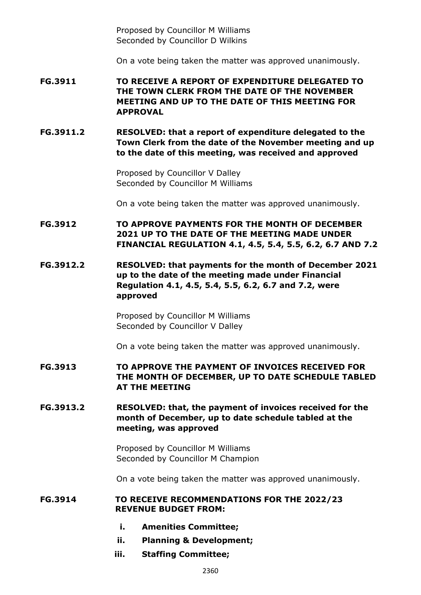Proposed by Councillor M Williams Seconded by Councillor D Wilkins

On a vote being taken the matter was approved unanimously.

**FG.3911 TO RECEIVE A REPORT OF EXPENDITURE DELEGATED TO THE TOWN CLERK FROM THE DATE OF THE NOVEMBER MEETING AND UP TO THE DATE OF THIS MEETING FOR APPROVAL**

**FG.3911.2 RESOLVED: that a report of expenditure delegated to the Town Clerk from the date of the November meeting and up to the date of this meeting, was received and approved**

> Proposed by Councillor V Dalley Seconded by Councillor M Williams

On a vote being taken the matter was approved unanimously.

**FG.3912 TO APPROVE PAYMENTS FOR THE MONTH OF DECEMBER 2021 UP TO THE DATE OF THE MEETING MADE UNDER FINANCIAL REGULATION 4.1, 4.5, 5.4, 5.5, 6.2, 6.7 AND 7.2**

**FG.3912.2 RESOLVED: that payments for the month of December 2021 up to the date of the meeting made under Financial Regulation 4.1, 4.5, 5.4, 5.5, 6.2, 6.7 and 7.2, were approved**

> Proposed by Councillor M Williams Seconded by Councillor V Dalley

On a vote being taken the matter was approved unanimously.

- **FG.3913 TO APPROVE THE PAYMENT OF INVOICES RECEIVED FOR THE MONTH OF DECEMBER, UP TO DATE SCHEDULE TABLED AT THE MEETING**
- **FG.3913.2 RESOLVED: that, the payment of invoices received for the month of December, up to date schedule tabled at the meeting, was approved**

Proposed by Councillor M Williams Seconded by Councillor M Champion

On a vote being taken the matter was approved unanimously.

#### **FG.3914 TO RECEIVE RECOMMENDATIONS FOR THE 2022/23 REVENUE BUDGET FROM:**

- **i. Amenities Committee;**
- **ii. Planning & Development;**
- **iii. Staffing Committee;**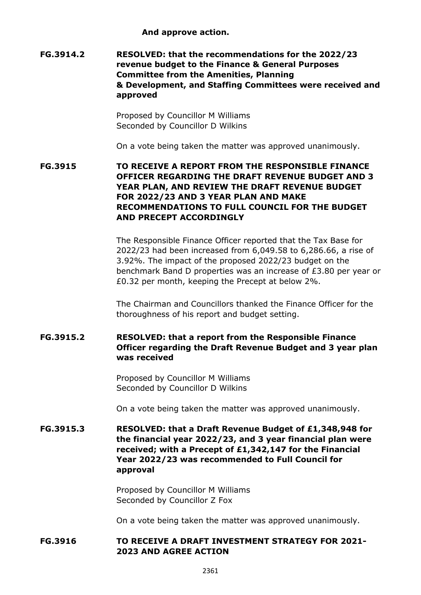**And approve action.**

**FG.3914.2 RESOLVED: that the recommendations for the 2022/23 revenue budget to the Finance & General Purposes Committee from the Amenities, Planning & Development, and Staffing Committees were received and approved**

> Proposed by Councillor M Williams Seconded by Councillor D Wilkins

On a vote being taken the matter was approved unanimously.

**FG.3915 TO RECEIVE A REPORT FROM THE RESPONSIBLE FINANCE OFFICER REGARDING THE DRAFT REVENUE BUDGET AND 3 YEAR PLAN, AND REVIEW THE DRAFT REVENUE BUDGET FOR 2022/23 AND 3 YEAR PLAN AND MAKE RECOMMENDATIONS TO FULL COUNCIL FOR THE BUDGET AND PRECEPT ACCORDINGLY**

> The Responsible Finance Officer reported that the Tax Base for 2022/23 had been increased from 6,049.58 to 6,286.66, a rise of 3.92%. The impact of the proposed 2022/23 budget on the benchmark Band D properties was an increase of £3.80 per year or £0.32 per month, keeping the Precept at below 2%.

The Chairman and Councillors thanked the Finance Officer for the thoroughness of his report and budget setting.

# **FG.3915.2 RESOLVED: that a report from the Responsible Finance Officer regarding the Draft Revenue Budget and 3 year plan was received**

Proposed by Councillor M Williams Seconded by Councillor D Wilkins

On a vote being taken the matter was approved unanimously.

**FG.3915.3 RESOLVED: that a Draft Revenue Budget of £1,348,948 for the financial year 2022/23, and 3 year financial plan were received; with a Precept of £1,342,147 for the Financial Year 2022/23 was recommended to Full Council for approval**

> Proposed by Councillor M Williams Seconded by Councillor Z Fox

On a vote being taken the matter was approved unanimously.

# **FG.3916 TO RECEIVE A DRAFT INVESTMENT STRATEGY FOR 2021- 2023 AND AGREE ACTION**